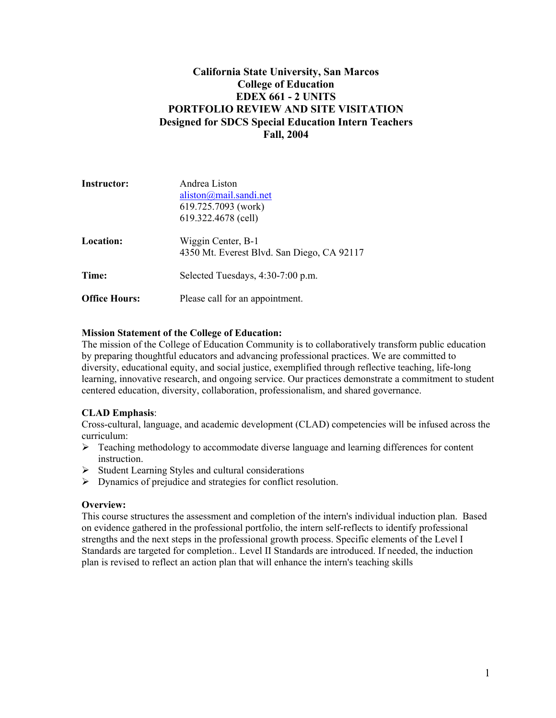## **California State University, San Marcos College of Education EDEX 661 - 2 UNITS PORTFOLIO REVIEW AND SITE VISITATION Designed for SDCS Special Education Intern Teachers Fall, 2004**

| Instructor:          | Andrea Liston                                                    |  |
|----------------------|------------------------------------------------------------------|--|
|                      | aliston@mail.sandi.net                                           |  |
|                      | 619.725.7093 (work)                                              |  |
|                      | 619.322.4678 (cell)                                              |  |
| <b>Location:</b>     | Wiggin Center, B-1<br>4350 Mt. Everest Blvd. San Diego, CA 92117 |  |
| Time:                | Selected Tuesdays, 4:30-7:00 p.m.                                |  |
| <b>Office Hours:</b> | Please call for an appointment.                                  |  |

## **Mission Statement of the College of Education:**

The mission of the College of Education Community is to collaboratively transform public education by preparing thoughtful educators and advancing professional practices. We are committed to diversity, educational equity, and social justice, exemplified through reflective teaching, life-long learning, innovative research, and ongoing service. Our practices demonstrate a commitment to student centered education, diversity, collaboration, professionalism, and shared governance.

## **CLAD Emphasis**:

Cross-cultural, language, and academic development (CLAD) competencies will be infused across the curriculum:

- $\triangleright$  Teaching methodology to accommodate diverse language and learning differences for content instruction.
- $\triangleright$  Student Learning Styles and cultural considerations
- $\triangleright$  Dynamics of prejudice and strategies for conflict resolution.

## **Overview:**

This course structures the assessment and completion of the intern's individual induction plan. Based on evidence gathered in the professional portfolio, the intern self-reflects to identify professional strengths and the next steps in the professional growth process. Specific elements of the Level I Standards are targeted for completion.. Level II Standards are introduced. If needed, the induction plan is revised to reflect an action plan that will enhance the intern's teaching skills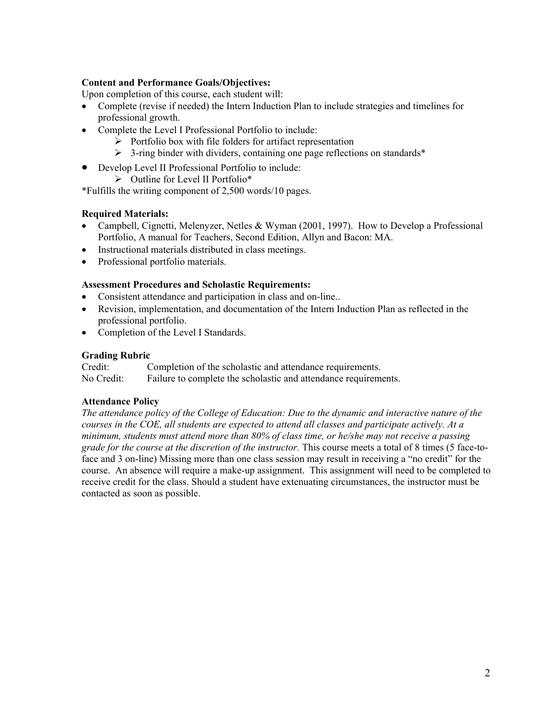## **Content and Performance Goals/Objectives:**

Upon completion of this course, each student will:

- Complete (revise if needed) the Intern Induction Plan to include strategies and timelines for professional growth.
- Complete the Level I Professional Portfolio to include:
	- $\triangleright$  Portfolio box with file folders for artifact representation
	- $\geq$  3-ring binder with dividers, containing one page reflections on standards\*
- Develop Level II Professional Portfolio to include:
	- ¾ Outline for Level II Portfolio\*

\*Fulfills the writing component of 2,500 words/10 pages.

## **Required Materials:**

- Campbell, Cignetti, Melenyzer, Netles & Wyman (2001, 1997). How to Develop a Professional Portfolio, A manual for Teachers, Second Edition, Allyn and Bacon: MA.
- Instructional materials distributed in class meetings.
- Professional portfolio materials.

## **Assessment Procedures and Scholastic Requirements:**

- Consistent attendance and participation in class and on-line..
- Revision, implementation, and documentation of the Intern Induction Plan as reflected in the professional portfolio.
- Completion of the Level I Standards.

## **Grading Rubric**

Credit: Completion of the scholastic and attendance requirements. No Credit: Failure to complete the scholastic and attendance requirements.

## **Attendance Policy**

*The attendance policy of the College of Education: Due to the dynamic and interactive nature of the courses in the COE, all students are expected to attend all classes and participate actively. At a minimum, students must attend more than 80% of class time, or he/she may not receive a passing grade for the course at the discretion of the instructor.* This course meets a total of 8 times (5 face-toface and 3 on-line) Missing more than one class session may result in receiving a "no credit" for the course. An absence will require a make-up assignment. This assignment will need to be completed to receive credit for the class. Should a student have extenuating circumstances, the instructor must be contacted as soon as possible.